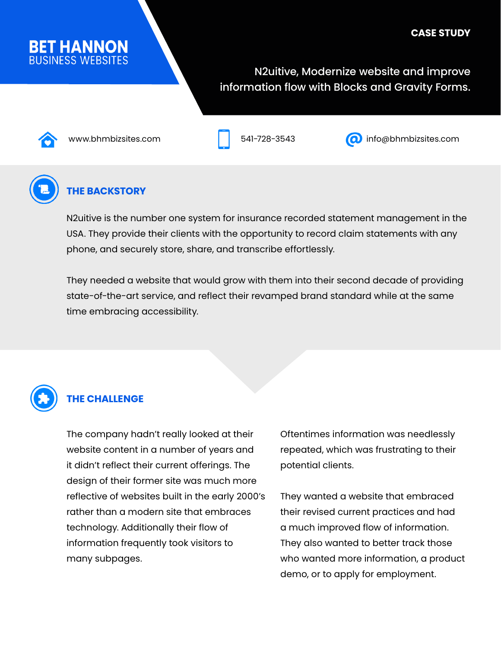# **BET HANNON**

#### N2uitive, Modernize website and improve information flow with Blocks and Gravity Forms.





www.bhmbizsites.com 541-728-3543 info@bhmbizsites.com



#### **THE BACKSTORY**

N2uitive is the number one system for insurance recorded statement management in the USA. They provide their clients with the opportunity to record claim statements with any phone, and securely store, share, and transcribe effortlessly.

They needed a website that would grow with them into their second decade of providing state-of-the-art service, and reflect their revamped brand standard while at the same time embracing accessibility.



#### **THE CHALLENGE**

The company hadn't really looked at their website content in a number of years and it didn't reflect their current offerings. The design of their former site was much more reflective of websites built in the early 2000's rather than a modern site that embraces technology. Additionally their flow of information frequently took visitors to many subpages.

Oftentimes information was needlessly repeated, which was frustrating to their potential clients.

They wanted a website that embraced their revised current practices and had a much improved flow of information. They also wanted to better track those who wanted more information, a product demo, or to apply for employment.